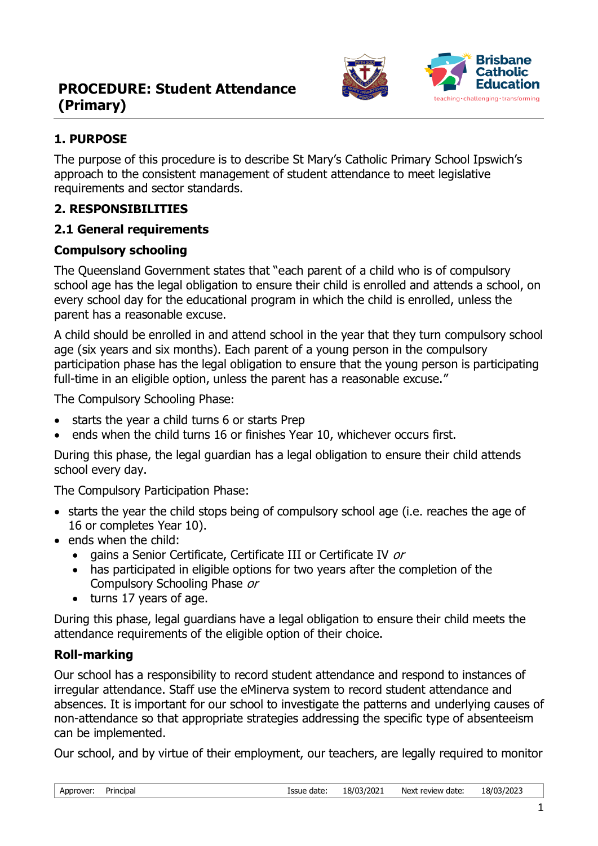

## **1. PURPOSE**

The purpose of this procedure is to describe St Mary's Catholic Primary School Ipswich's approach to the consistent management of student attendance to meet legislative requirements and sector standards.

## **2. RESPONSIBILITIES**

### **2.1 General requirements**

### **Compulsory schooling**

The Queensland Government states that "each parent of a child who is of compulsory school age has the legal obligation to ensure their child is enrolled and attends a school, on every school day for the educational program in which the child is enrolled, unless the parent has a reasonable excuse.

A child should be enrolled in and attend school in the year that they turn compulsory school age (six years and six months). Each parent of a young person in the compulsory participation phase has the legal obligation to ensure that the young person is participating full-time in an eligible option, unless the parent has a reasonable excuse."

The Compulsory Schooling Phase:

- starts the year a child turns 6 or starts Prep
- ends when the child turns 16 or finishes Year 10, whichever occurs first.

During this phase, the legal guardian has a legal obligation to ensure their child attends school every day.

The Compulsory Participation Phase:

- starts the year the child stops being of compulsory school age (i.e. reaches the age of 16 or completes Year 10).
- ends when the child:
	- gains a Senior Certificate, Certificate III or Certificate IV or
	- has participated in eligible options for two years after the completion of the Compulsory Schooling Phase or
	- turns 17 years of age.

During this phase, legal guardians have a legal obligation to ensure their child meets the attendance requirements of the eligible option of their choice.

## **Roll-marking**

Our school has a responsibility to record student attendance and respond to instances of irregular attendance. Staff use the eMinerva system to record student attendance and absences. It is important for our school to investigate the patterns and underlying causes of non-attendance so that appropriate strategies addressing the specific type of absenteeism can be implemented.

Our school, and by virtue of their employment, our teachers, are legally required to monitor

| Approver: | Principal |  |
|-----------|-----------|--|
|           |           |  |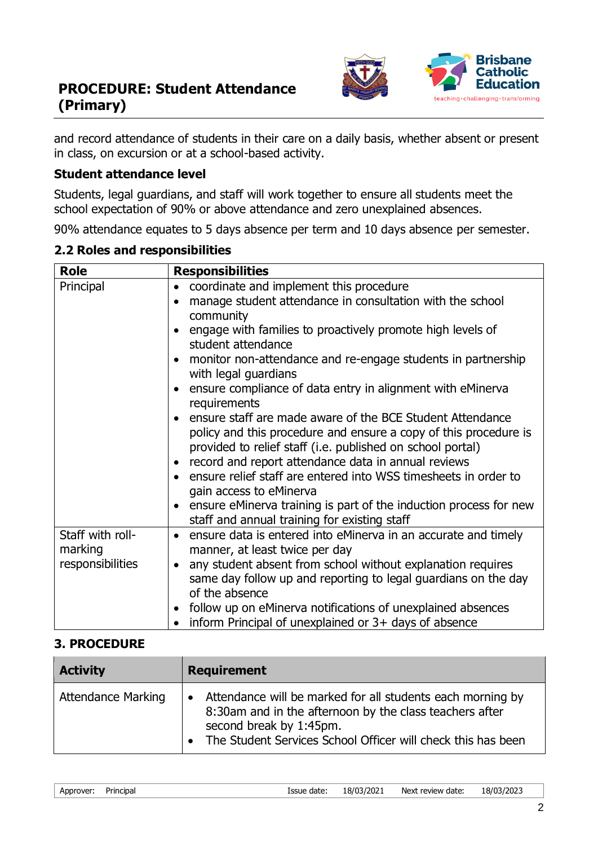

and record attendance of students in their care on a daily basis, whether absent or present in class, on excursion or at a school-based activity.

### **Student attendance level**

Students, legal guardians, and staff will work together to ensure all students meet the school expectation of 90% or above attendance and zero unexplained absences.

90% attendance equates to 5 days absence per term and 10 days absence per semester.

|  |  |  |  | 2.2 Roles and responsibilities |
|--|--|--|--|--------------------------------|
|--|--|--|--|--------------------------------|

| <b>Role</b>                                     | <b>Responsibilities</b>                                                                                                                                                                                                                                                                                                                                                                                                                                                                                                                   |
|-------------------------------------------------|-------------------------------------------------------------------------------------------------------------------------------------------------------------------------------------------------------------------------------------------------------------------------------------------------------------------------------------------------------------------------------------------------------------------------------------------------------------------------------------------------------------------------------------------|
| Principal                                       | coordinate and implement this procedure<br>$\bullet$<br>manage student attendance in consultation with the school<br>$\bullet$<br>community<br>engage with families to proactively promote high levels of<br>$\bullet$<br>student attendance<br>monitor non-attendance and re-engage students in partnership<br>$\bullet$<br>with legal guardians<br>ensure compliance of data entry in alignment with eMinerva<br>$\bullet$                                                                                                              |
|                                                 | requirements<br>ensure staff are made aware of the BCE Student Attendance<br>$\bullet$<br>policy and this procedure and ensure a copy of this procedure is<br>provided to relief staff (i.e. published on school portal)<br>record and report attendance data in annual reviews<br>$\bullet$<br>ensure relief staff are entered into WSS timesheets in order to<br>$\bullet$<br>gain access to eMinerva<br>ensure eMinerva training is part of the induction process for new<br>$\bullet$<br>staff and annual training for existing staff |
| Staff with roll-<br>marking<br>responsibilities | ensure data is entered into eMinerva in an accurate and timely<br>$\bullet$<br>manner, at least twice per day<br>any student absent from school without explanation requires<br>$\bullet$<br>same day follow up and reporting to legal guardians on the day<br>of the absence<br>follow up on eMinerva notifications of unexplained absences<br>$\bullet$<br>inform Principal of unexplained or 3+ days of absence                                                                                                                        |

#### **3. PROCEDURE**

| <b>Activity</b>           | <b>Requirement</b>                                                                                                                                                                                                            |  |
|---------------------------|-------------------------------------------------------------------------------------------------------------------------------------------------------------------------------------------------------------------------------|--|
| <b>Attendance Marking</b> | Attendance will be marked for all students each morning by<br>8:30am and in the afternoon by the class teachers after<br>second break by 1:45pm.<br>The Student Services School Officer will check this has been<br>$\bullet$ |  |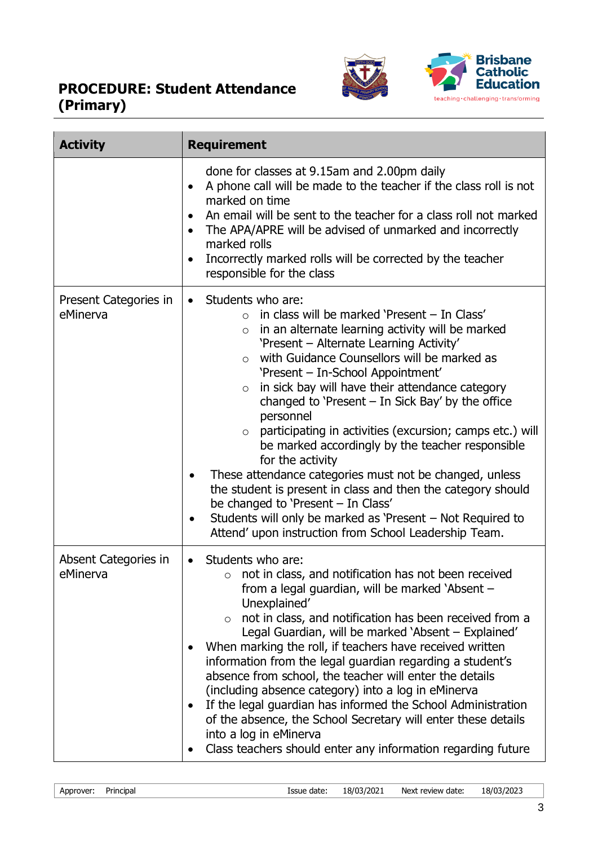

| <b>Activity</b>                   | <b>Requirement</b>                                                                                                                                                                                                                                                                                                                                                                                                                                                                                                                                                                                                                                                                                                                                                                                                                                                                                    |  |
|-----------------------------------|-------------------------------------------------------------------------------------------------------------------------------------------------------------------------------------------------------------------------------------------------------------------------------------------------------------------------------------------------------------------------------------------------------------------------------------------------------------------------------------------------------------------------------------------------------------------------------------------------------------------------------------------------------------------------------------------------------------------------------------------------------------------------------------------------------------------------------------------------------------------------------------------------------|--|
|                                   | done for classes at 9.15am and 2.00pm daily<br>A phone call will be made to the teacher if the class roll is not<br>$\bullet$<br>marked on time<br>An email will be sent to the teacher for a class roll not marked<br>The APA/APRE will be advised of unmarked and incorrectly<br>marked rolls<br>Incorrectly marked rolls will be corrected by the teacher<br>responsible for the class                                                                                                                                                                                                                                                                                                                                                                                                                                                                                                             |  |
| Present Categories in<br>eMinerva | Students who are:<br>$\bullet$<br>in class will be marked 'Present - In Class'<br>$\Omega$<br>in an alternate learning activity will be marked<br>$\circ$<br>'Present - Alternate Learning Activity'<br>with Guidance Counsellors will be marked as<br>$\circ$<br>'Present - In-School Appointment'<br>in sick bay will have their attendance category<br>$\circ$<br>changed to 'Present $-$ In Sick Bay' by the office<br>personnel<br>participating in activities (excursion; camps etc.) will<br>$\circ$<br>be marked accordingly by the teacher responsible<br>for the activity<br>These attendance categories must not be changed, unless<br>$\bullet$<br>the student is present in class and then the category should<br>be changed to 'Present - In Class'<br>Students will only be marked as 'Present – Not Required to<br>$\bullet$<br>Attend' upon instruction from School Leadership Team. |  |
| Absent Categories in<br>eMinerva  | Students who are:<br>$\bullet$<br>not in class, and notification has not been received<br>$\circ$<br>from a legal guardian, will be marked 'Absent –<br>Unexplained'<br>not in class, and notification has been received from a<br>$\circ$<br>Legal Guardian, will be marked 'Absent - Explained'<br>When marking the roll, if teachers have received written<br>information from the legal guardian regarding a student's<br>absence from school, the teacher will enter the details<br>(including absence category) into a log in eMinerva<br>If the legal guardian has informed the School Administration<br>$\bullet$<br>of the absence, the School Secretary will enter these details<br>into a log in eMinerva<br>Class teachers should enter any information regarding future                                                                                                                  |  |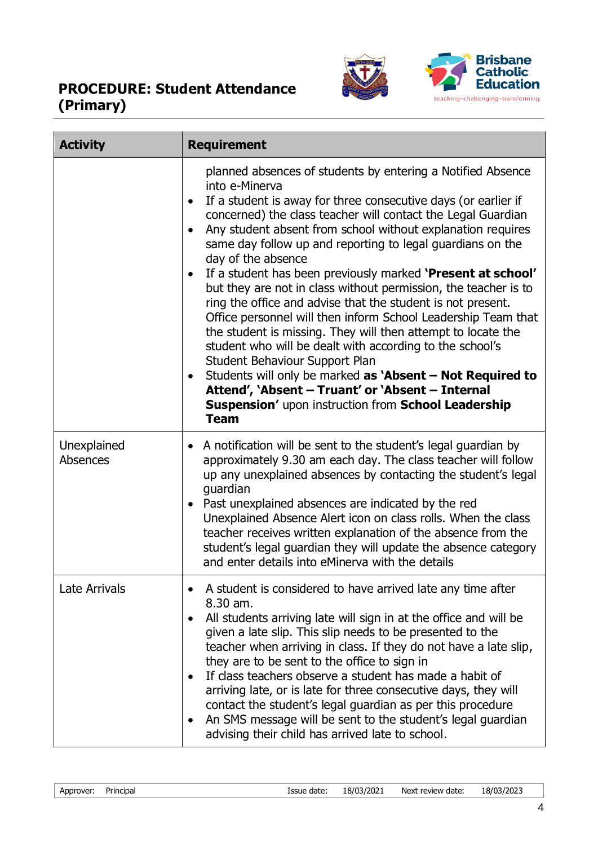

| <b>Activity</b>         | <b>Requirement</b>                                                                                                                                                                                                                                                                                                                                                                                                                                                                                                                                                                                                                                                                                                                                                                                                                                                                                                                                                                        |  |
|-------------------------|-------------------------------------------------------------------------------------------------------------------------------------------------------------------------------------------------------------------------------------------------------------------------------------------------------------------------------------------------------------------------------------------------------------------------------------------------------------------------------------------------------------------------------------------------------------------------------------------------------------------------------------------------------------------------------------------------------------------------------------------------------------------------------------------------------------------------------------------------------------------------------------------------------------------------------------------------------------------------------------------|--|
|                         | planned absences of students by entering a Notified Absence<br>into e-Minerva<br>If a student is away for three consecutive days (or earlier if<br>concerned) the class teacher will contact the Legal Guardian<br>Any student absent from school without explanation requires<br>same day follow up and reporting to legal guardians on the<br>day of the absence<br>If a student has been previously marked 'Present at school'<br>but they are not in class without permission, the teacher is to<br>ring the office and advise that the student is not present.<br>Office personnel will then inform School Leadership Team that<br>the student is missing. They will then attempt to locate the<br>student who will be dealt with according to the school's<br>Student Behaviour Support Plan<br>Students will only be marked as 'Absent - Not Required to<br>Attend', 'Absent - Truant' or 'Absent - Internal<br>Suspension' upon instruction from School Leadership<br><b>Team</b> |  |
| Unexplained<br>Absences | A notification will be sent to the student's legal guardian by<br>$\bullet$<br>approximately 9.30 am each day. The class teacher will follow<br>up any unexplained absences by contacting the student's legal<br>guardian<br>Past unexplained absences are indicated by the red<br>Unexplained Absence Alert icon on class rolls. When the class<br>teacher receives written explanation of the absence from the<br>student's legal guardian they will update the absence category<br>and enter details into eMinerva with the details                                                                                                                                                                                                                                                                                                                                                                                                                                                    |  |
| Late Arrivals           | A student is considered to have arrived late any time after<br>8.30 am.<br>All students arriving late will sign in at the office and will be<br>given a late slip. This slip needs to be presented to the<br>teacher when arriving in class. If they do not have a late slip,<br>they are to be sent to the office to sign in<br>If class teachers observe a student has made a habit of<br>arriving late, or is late for three consecutive days, they will<br>contact the student's legal guardian as per this procedure<br>An SMS message will be sent to the student's legal guardian<br>advising their child has arrived late to school.                                                                                                                                                                                                                                                                                                                                              |  |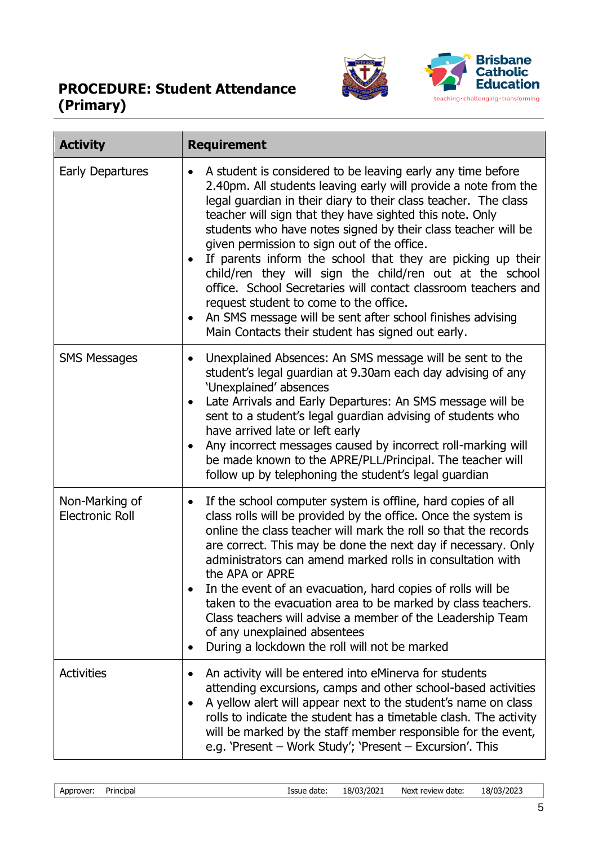

| <b>Activity</b>                          | <b>Requirement</b>                                                                                                                                                                                                                                                                                                                                                                                                                                                                                                                                                                                                                                                                                                                      |
|------------------------------------------|-----------------------------------------------------------------------------------------------------------------------------------------------------------------------------------------------------------------------------------------------------------------------------------------------------------------------------------------------------------------------------------------------------------------------------------------------------------------------------------------------------------------------------------------------------------------------------------------------------------------------------------------------------------------------------------------------------------------------------------------|
| Early Departures                         | A student is considered to be leaving early any time before<br>2.40pm. All students leaving early will provide a note from the<br>legal guardian in their diary to their class teacher. The class<br>teacher will sign that they have sighted this note. Only<br>students who have notes signed by their class teacher will be<br>given permission to sign out of the office.<br>If parents inform the school that they are picking up their<br>child/ren they will sign the child/ren out at the school<br>office. School Secretaries will contact classroom teachers and<br>request student to come to the office.<br>An SMS message will be sent after school finishes advising<br>Main Contacts their student has signed out early. |
| <b>SMS Messages</b>                      | Unexplained Absences: An SMS message will be sent to the<br>student's legal guardian at 9.30am each day advising of any<br>'Unexplained' absences<br>Late Arrivals and Early Departures: An SMS message will be<br>sent to a student's legal guardian advising of students who<br>have arrived late or left early<br>Any incorrect messages caused by incorrect roll-marking will<br>be made known to the APRE/PLL/Principal. The teacher will<br>follow up by telephoning the student's legal guardian                                                                                                                                                                                                                                 |
| Non-Marking of<br><b>Electronic Roll</b> | If the school computer system is offline, hard copies of all<br>$\bullet$<br>class rolls will be provided by the office. Once the system is<br>online the class teacher will mark the roll so that the records<br>are correct. This may be done the next day if necessary. Only<br>administrators can amend marked rolls in consultation with<br>the APA or APRE<br>In the event of an evacuation, hard copies of rolls will be<br>taken to the evacuation area to be marked by class teachers.<br>Class teachers will advise a member of the Leadership Team<br>of any unexplained absentees<br>During a lockdown the roll will not be marked                                                                                          |
| <b>Activities</b>                        | An activity will be entered into eMinerva for students<br>attending excursions, camps and other school-based activities<br>A yellow alert will appear next to the student's name on class<br>rolls to indicate the student has a timetable clash. The activity<br>will be marked by the staff member responsible for the event,<br>e.g. 'Present – Work Study'; 'Present – Excursion'. This                                                                                                                                                                                                                                                                                                                                             |